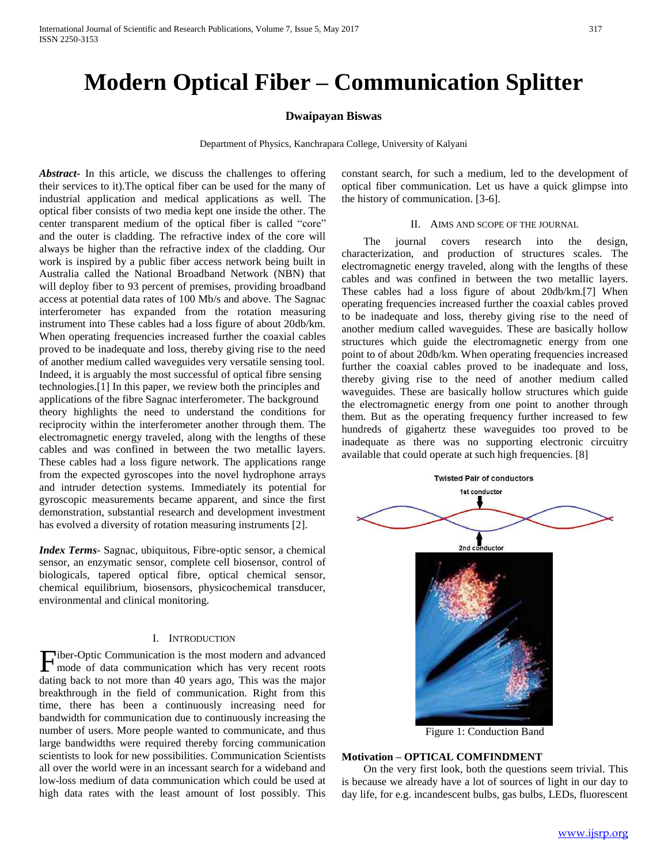# **Modern Optical Fiber – Communication Splitter**

# **Dwaipayan Biswas**

Department of Physics, Kanchrapara College, University of Kalyani

*Abstract***-** In this article, we discuss the challenges to offering their services to it).The optical fiber can be used for the many of industrial application and medical applications as well. The optical fiber consists of two media kept one inside the other. The center transparent medium of the optical fiber is called "core" and the outer is cladding. The refractive index of the core will always be higher than the refractive index of the cladding. Our work is inspired by a public fiber access network being built in Australia called the National Broadband Network (NBN) that will deploy fiber to 93 percent of premises, providing broadband access at potential data rates of 100 Mb/s and above. The Sagnac interferometer has expanded from the rotation measuring instrument into These cables had a loss figure of about 20db/km. When operating frequencies increased further the coaxial cables proved to be inadequate and loss, thereby giving rise to the need of another medium called waveguides very versatile sensing tool. Indeed, it is arguably the most successful of optical fibre sensing technologies.[1] In this paper, we review both the principles and applications of the fibre Sagnac interferometer. The background theory highlights the need to understand the conditions for reciprocity within the interferometer another through them. The electromagnetic energy traveled, along with the lengths of these cables and was confined in between the two metallic layers. These cables had a loss figure network. The applications range from the expected gyroscopes into the novel hydrophone arrays and intruder detection systems. Immediately its potential for gyroscopic measurements became apparent, and since the first demonstration, substantial research and development investment has evolved a diversity of rotation measuring instruments [2].

*Index Terms*- Sagnac, ubiquitous, Fibre-optic sensor, a chemical sensor, an enzymatic sensor, complete cell biosensor, control of biologicals, tapered optical fibre, optical chemical sensor, chemical equilibrium, biosensors, physicochemical transducer, environmental and clinical monitoring.

#### I. INTRODUCTION

Fiber-Optic Communication is the most modern and advanced mode of data communication which has very recent roots mode of data communication which has very recent roots dating back to not more than 40 years ago, This was the major breakthrough in the field of communication. Right from this time, there has been a continuously increasing need for bandwidth for communication due to continuously increasing the number of users. More people wanted to communicate, and thus large bandwidths were required thereby forcing communication scientists to look for new possibilities. Communication Scientists all over the world were in an incessant search for a wideband and low-loss medium of data communication which could be used at high data rates with the least amount of lost possibly. This

constant search, for such a medium, led to the development of optical fiber communication. Let us have a quick glimpse into the history of communication. [3-6].

## II. AIMS AND SCOPE OF THE JOURNAL

 The journal covers research into the design, characterization, and production of structures scales. The electromagnetic energy traveled, along with the lengths of these cables and was confined in between the two metallic layers. These cables had a loss figure of about 20db/km.[7] When operating frequencies increased further the coaxial cables proved to be inadequate and loss, thereby giving rise to the need of another medium called waveguides. These are basically hollow structures which guide the electromagnetic energy from one point to of about 20db/km. When operating frequencies increased further the coaxial cables proved to be inadequate and loss, thereby giving rise to the need of another medium called waveguides. These are basically hollow structures which guide the electromagnetic energy from one point to another through them. But as the operating frequency further increased to few hundreds of gigahertz these waveguides too proved to be inadequate as there was no supporting electronic circuitry available that could operate at such high frequencies. [8]



Figure 1: Conduction Band

# **Motivation – OPTICAL COMFINDMENT**

 On the very first look, both the questions seem trivial. This is because we already have a lot of sources of light in our day to day life, for e.g. incandescent bulbs, gas bulbs, LEDs, fluorescent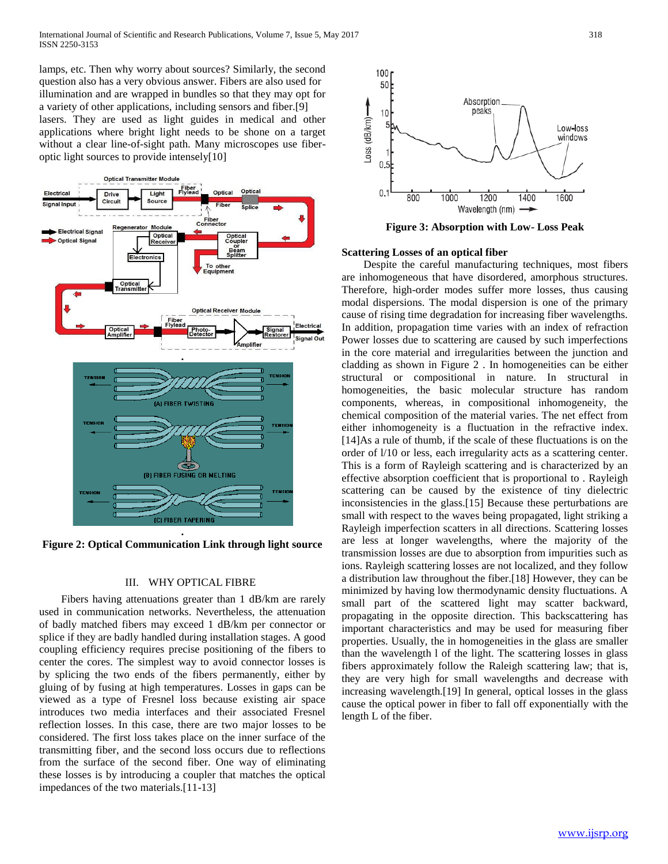lamps, etc. Then why worry about sources? Similarly, the second question also has a very obvious answer. Fibers are also used for illumination and are wrapped in bundles so that they may opt for a variety of other applications, including sensors and fiber.[9] lasers. They are used as light guides in medical and other applications where bright light needs to be shone on a target without a clear line-of-sight path. Many microscopes use fiberoptic light sources to provide intensely[10]



**Figure 2: Optical Communication Link through light source**

# III. WHY OPTICAL FIBRE

 Fibers having attenuations greater than 1 dB/km are rarely used in communication networks. Nevertheless, the attenuation of badly matched fibers may exceed 1 dB/km per connector or splice if they are badly handled during installation stages. A good coupling efficiency requires precise positioning of the fibers to center the cores. The simplest way to avoid connector losses is by splicing the two ends of the fibers permanently, either by gluing of by fusing at high temperatures. Losses in gaps can be viewed as a type of Fresnel loss because existing air space introduces two media interfaces and their associated Fresnel reflection losses. In this case, there are two major losses to be considered. The first loss takes place on the inner surface of the transmitting fiber, and the second loss occurs due to reflections from the surface of the second fiber. One way of eliminating these losses is by introducing a coupler that matches the optical impedances of the two materials.[11-13]



**Figure 3: Absorption with Low- Loss Peak**

## **Scattering Losses of an optical fiber**

 Despite the careful manufacturing techniques, most fibers are inhomogeneous that have disordered, amorphous structures. Therefore, high-order modes suffer more losses, thus causing modal dispersions. The modal dispersion is one of the primary cause of rising time degradation for increasing fiber wavelengths. In addition, propagation time varies with an index of refraction Power losses due to scattering are caused by such imperfections in the core material and irregularities between the junction and cladding as shown in Figure 2 . In homogeneities can be either structural or compositional in nature. In structural in homogeneities, the basic molecular structure has random components, whereas, in compositional inhomogeneity, the chemical composition of the material varies. The net effect from either inhomogeneity is a fluctuation in the refractive index. [14]As a rule of thumb, if the scale of these fluctuations is on the order of l/10 or less, each irregularity acts as a scattering center. This is a form of Rayleigh scattering and is characterized by an effective absorption coefficient that is proportional to . Rayleigh scattering can be caused by the existence of tiny dielectric inconsistencies in the glass.[15] Because these perturbations are small with respect to the waves being propagated, light striking a Rayleigh imperfection scatters in all directions. Scattering losses are less at longer wavelengths, where the majority of the transmission losses are due to absorption from impurities such as ions. Rayleigh scattering losses are not localized, and they follow a distribution law throughout the fiber.[18] However, they can be minimized by having low thermodynamic density fluctuations. A small part of the scattered light may scatter backward, propagating in the opposite direction. This backscattering has important characteristics and may be used for measuring fiber properties. Usually, the in homogeneities in the glass are smaller than the wavelength l of the light. The scattering losses in glass fibers approximately follow the Raleigh scattering law; that is, they are very high for small wavelengths and decrease with increasing wavelength.[19] In general, optical losses in the glass cause the optical power in fiber to fall off exponentially with the length L of the fiber.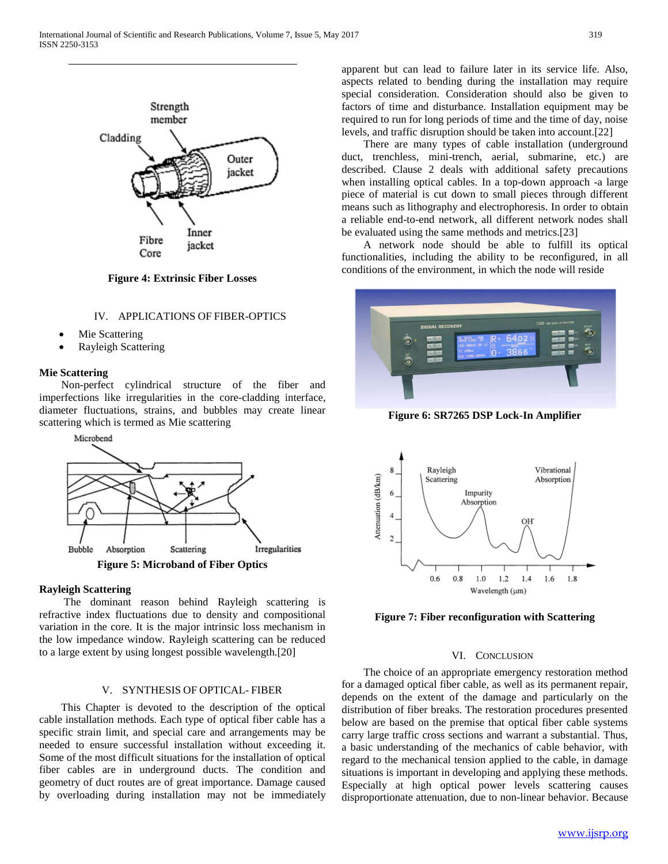

**Figure 4: Extrinsic Fiber Losses**

## IV. APPLICATIONS OF FIBER-OPTICS

- Mie Scattering
- Rayleigh Scattering

## **Mie Scattering**

 Non-perfect cylindrical structure of the fiber and imperfections like irregularities in the core-cladding interface, diameter fluctuations, strains, and bubbles may create linear scattering which is termed as Mie scattering



#### **Rayleigh Scattering**

 The dominant reason behind Rayleigh scattering is refractive index fluctuations due to density and compositional variation in the core. It is the major intrinsic loss mechanism in the low impedance window. Rayleigh scattering can be reduced to a large extent by using longest possible wavelength.[20]

# V. SYNTHESIS OF OPTICAL- FIBER

 This Chapter is devoted to the description of the optical cable installation methods. Each type of optical fiber cable has a specific strain limit, and special care and arrangements may be needed to ensure successful installation without exceeding it. Some of the most difficult situations for the installation of optical fiber cables are in underground ducts. The condition and geometry of duct routes are of great importance. Damage caused by overloading during installation may not be immediately apparent but can lead to failure later in its service life. Also, aspects related to bending during the installation may require special consideration. Consideration should also be given to factors of time and disturbance. Installation equipment may be required to run for long periods of time and the time of day, noise levels, and traffic disruption should be taken into account.[22]

 There are many types of cable installation (underground duct, trenchless, mini-trench, aerial, submarine, etc.) are described. Clause 2 deals with additional safety precautions when installing optical cables. In a top-down approach -a large piece of material is cut down to small pieces through different means such as lithography and electrophoresis. In order to obtain a reliable end-to-end network, all different network nodes shall be evaluated using the same methods and metrics.[23]

 A network node should be able to fulfill its optical functionalities, including the ability to be reconfigured, in all conditions of the environment, in which the node will reside



**Figure 6: SR7265 DSP Lock-In Amplifier**



**Figure 7: Fiber reconfiguration with Scattering**

## VI. CONCLUSION

 The choice of an appropriate emergency restoration method for a damaged optical fiber cable, as well as its permanent repair, depends on the extent of the damage and particularly on the distribution of fiber breaks. The restoration procedures presented below are based on the premise that optical fiber cable systems carry large traffic cross sections and warrant a substantial. Thus, a basic understanding of the mechanics of cable behavior, with regard to the mechanical tension applied to the cable, in damage situations is important in developing and applying these methods. Especially at high optical power levels scattering causes disproportionate attenuation, due to non-linear behavior. Because